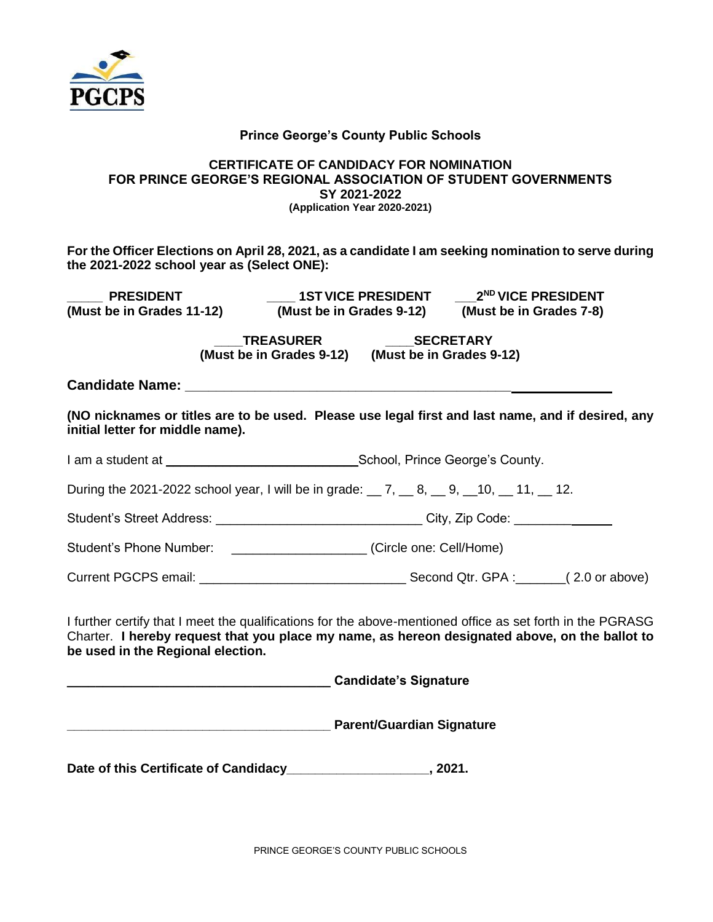

#### **Prince George's County Public Schools**

#### **CERTIFICATE OF CANDIDACY FOR NOMINATION FOR PRINCE GEORGE'S REGIONAL ASSOCIATION OF STUDENT GOVERNMENTS SY 2021-2022 (Application Year 2020-2021)**

**For the Officer Elections on April 28, 2021, as a candidate I am seeking nomination to serve during the 2021-2022 school year as (Select ONE):**

**\_\_\_\_\_ PRESIDENT \_\_\_\_ 1STVICE PRESIDENT \_\_\_2ND VICE PRESIDENT**

**(Must be in Grades 11-12) (Must be in Grades 9-12) (Must be in Grades 7-8)**

 **\_\_\_\_TREASURER \_\_\_\_SECRETARY (Must be in Grades 9-12) (Must be in Grades 9-12)**

**Candidate Name: \_\_\_\_\_\_\_\_\_\_\_\_\_\_\_\_\_\_\_\_\_\_\_\_\_\_\_\_\_\_\_\_\_\_\_\_\_\_\_\_\_\_**

**(NO nicknames or titles are to be used. Please use legal first and last name, and if desired, any initial letter for middle name).**

I am a student at \_\_\_\_\_\_\_\_\_\_\_\_\_\_\_\_\_\_\_\_\_\_\_\_\_\_\_School, Prince George's County.

During the 2021-2022 school year, I will be in grade: \_\_ 7, \_\_ 8, \_\_ 9, \_\_ 10, \_\_ 11, \_\_ 12.

Student's Street Address: \_\_\_\_\_\_\_\_\_\_\_\_\_\_\_\_\_\_\_\_\_\_\_\_\_\_\_\_\_\_\_\_\_\_City, Zip Code: \_\_\_\_\_\_\_\_\_\_\_\_

Student's Phone Number:\_\_\_\_\_\_\_\_\_\_\_\_\_\_\_\_\_\_\_ (Circle one: Cell/Home)

Current PGCPS email:  $\qquad \qquad$  Second Qtr. GPA :  $(2.0 \text{ or above})$ 

I further certify that I meet the qualifications for the above-mentioned office as set forth in the PGRASG Charter. **I hereby request that you place my name, as hereon designated above, on the ballot to be used in the Regional election.**

**\_\_\_\_\_\_\_\_\_\_\_\_\_\_\_\_\_\_\_\_\_\_\_\_\_\_\_\_\_\_\_\_\_\_\_\_\_ Candidate's Signature**

**\_\_\_\_\_\_\_\_\_\_\_\_\_\_\_\_\_\_\_\_\_\_\_\_\_\_\_\_\_\_\_\_\_\_\_\_\_ Parent/Guardian Signature**

**Date of this Certificate of Candidacy\_\_\_\_\_\_\_\_\_\_\_\_\_\_\_\_\_\_\_\_, 2021.**

PRINCE GEORGE'S COUNTY PUBLIC SCHOOLS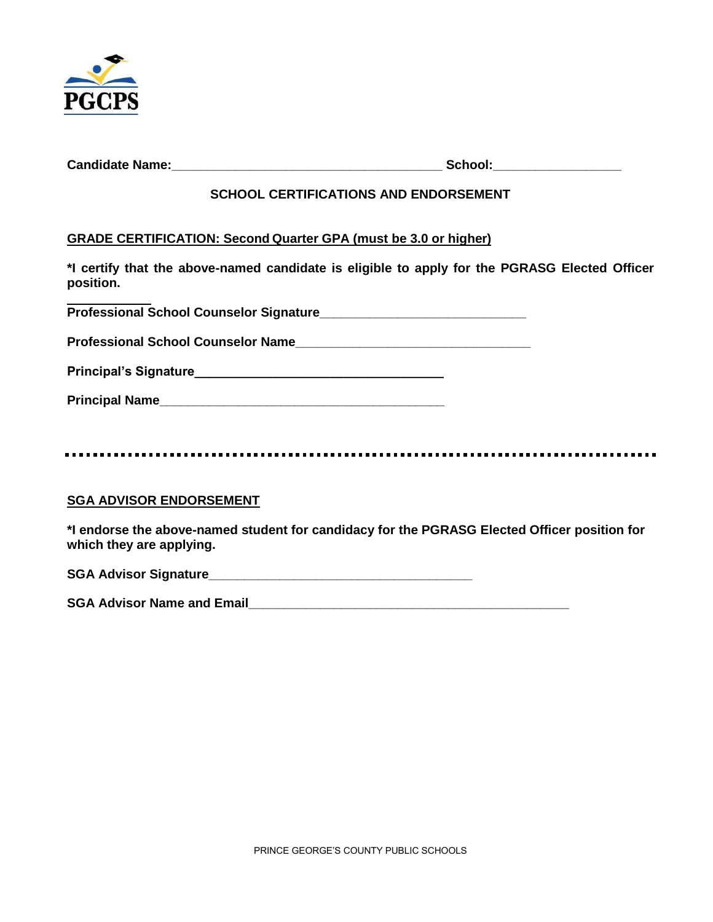

| <b>Candidate Name:</b> | School: |
|------------------------|---------|
|                        |         |

### **SCHOOL CERTIFICATIONS AND ENDORSEMENT**

#### **GRADE CERTIFICATION: Second Quarter GPA (must be 3.0 or higher)**

**\*I certify that the above-named candidate is eligible to apply for the PGRASG Elected Officer position.** 

**Professional School Counselor Signature\_\_\_\_\_\_\_\_\_\_\_\_\_\_\_\_\_\_\_\_\_\_\_\_\_\_\_\_\_**

**Professional School Counselor Name\_\_\_\_\_\_\_\_\_\_\_\_\_\_\_\_\_\_\_\_\_\_\_\_\_\_\_\_\_\_\_\_\_**

| <b>Principal's Signature</b> |  |
|------------------------------|--|
|                              |  |

**Principal Name\_\_\_\_\_\_\_\_\_\_\_\_\_\_\_\_\_\_\_\_\_\_\_\_\_\_\_\_\_\_\_\_\_\_\_\_\_\_\_\_**

### **SGA ADVISOR ENDORSEMENT**

**\*I endorse the above-named student for candidacy for the PGRASG Elected Officer position for which they are applying.**

SGA Advisor Signature

**SGA Advisor Name and Email Example 2008**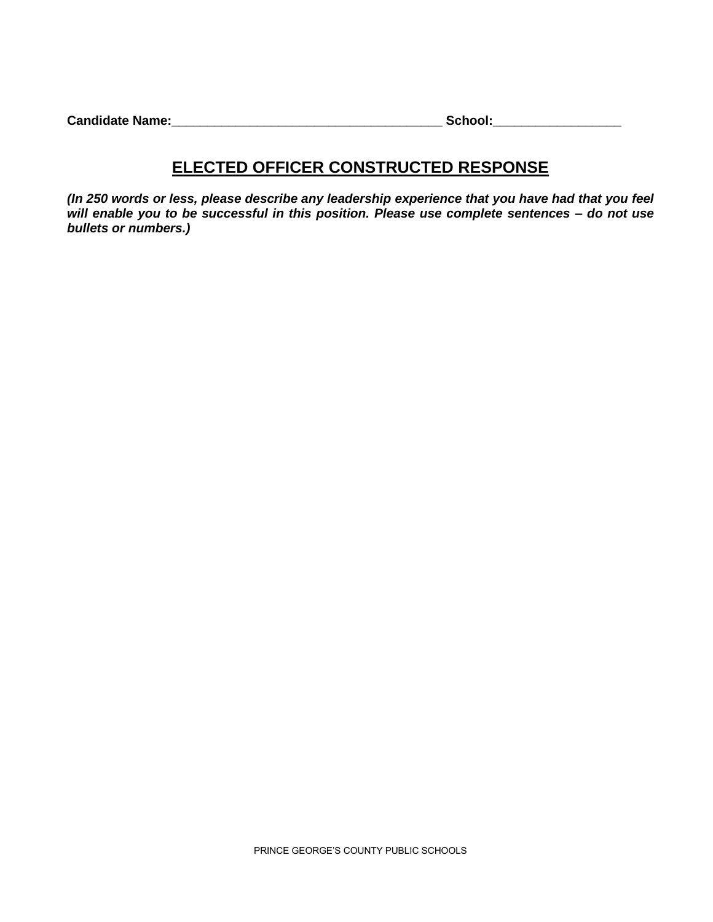| <b>Candidate Name:</b> | School: |
|------------------------|---------|
|                        |         |

# **ELECTED OFFICER CONSTRUCTED RESPONSE**

*(In 250 words or less, please describe any leadership experience that you have had that you feel will enable you to be successful in this position. Please use complete sentences – do not use bullets or numbers.)*